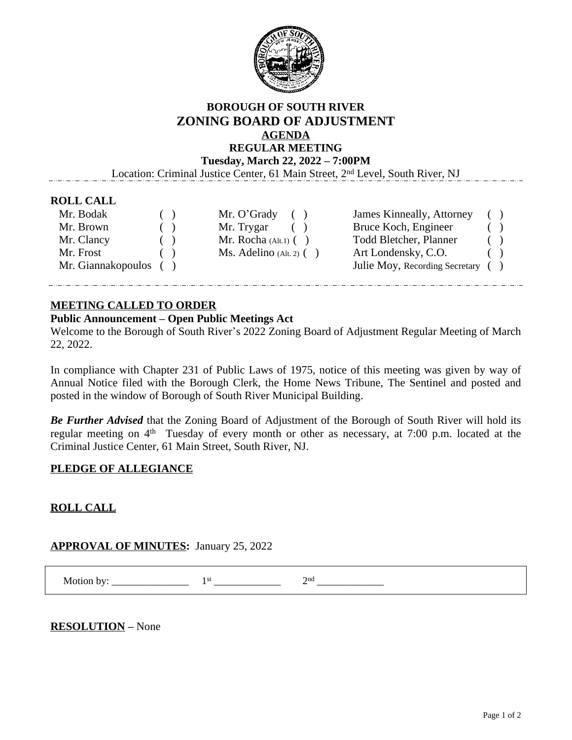

## **BOROUGH OF SOUTH RIVER ZONING BOARD OF ADJUSTMENT AGENDA REGULAR MEETING**

**Tuesday, March 22, 2022 – 7:00PM**

Location: Criminal Justice Center, 61 Main Street, 2nd Level, South River, NJ

#### **ROLL CALL**

| Mr. Bodak             | ( | Mr. O'Grady<br>(             | James Kinneally, Attorney         |  |
|-----------------------|---|------------------------------|-----------------------------------|--|
| Mr. Brown             |   | Mr. Trygar                   | Bruce Koch, Engineer              |  |
| Mr. Clancy            |   | Mr. Rocha $(Alt.1)$ $( )$    | <b>Todd Bletcher, Planner</b>     |  |
| Mr. Frost             |   | $Ms.$ Adelino (Alt. 2) $( )$ | Art Londensky, C.O.               |  |
| Mr. Giannakopoulos () |   |                              | Julie Moy, Recording Secretary () |  |

### **MEETING CALLED TO ORDER**

#### **Public Announcement – Open Public Meetings Act**

Welcome to the Borough of South River's 2022 Zoning Board of Adjustment Regular Meeting of March 22, 2022.

In compliance with Chapter 231 of Public Laws of 1975, notice of this meeting was given by way of Annual Notice filed with the Borough Clerk, the Home News Tribune, The Sentinel and posted and posted in the window of Borough of South River Municipal Building.

*Be Further Advised* that the Zoning Board of Adjustment of the Borough of South River will hold its regular meeting on 4<sup>th</sup> Tuesday of every month or other as necessary, at 7:00 p.m. located at the Criminal Justice Center, 61 Main Street, South River, NJ.

### **PLEDGE OF ALLEGIANCE**

## **ROLL CALL**

### **APPROVAL OF MINUTES:** January 25, 2022

 Motion by: \_\_\_\_\_\_\_\_\_\_\_\_\_\_\_ 1 st \_\_\_\_\_\_\_\_\_\_\_\_\_ 2 nd \_\_\_\_\_\_\_\_\_\_\_\_\_

**RESOLUTION –** None